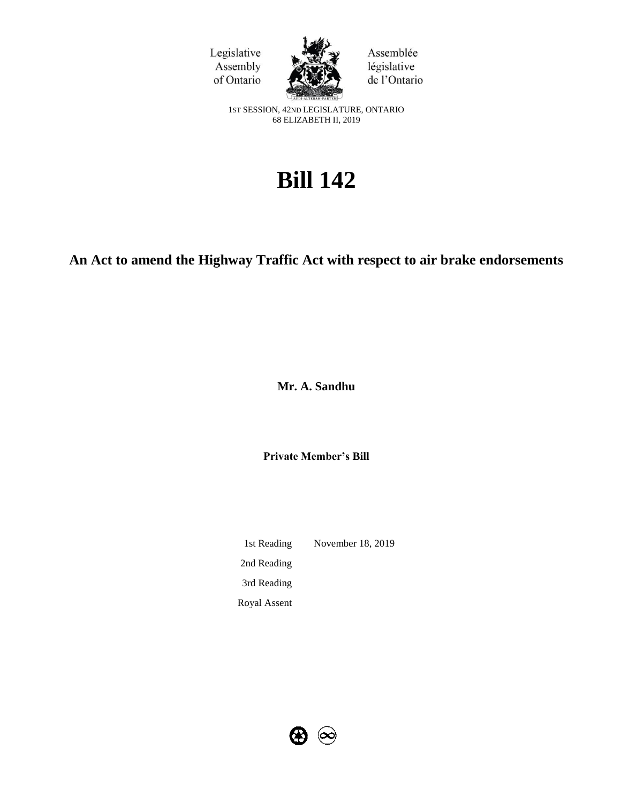



Assemblée législative de l'Ontario

1ST SESSION, 42ND LEGISLATURE, ONTARIO 68 ELIZABETH II, 2019

# **Bill 142**

# **An Act to amend the Highway Traffic Act with respect to air brake endorsements**

**Mr. A. Sandhu** 

**Private Member's Bill**

1st Reading November 18, 2019 2nd Reading 3rd Reading Royal Assent